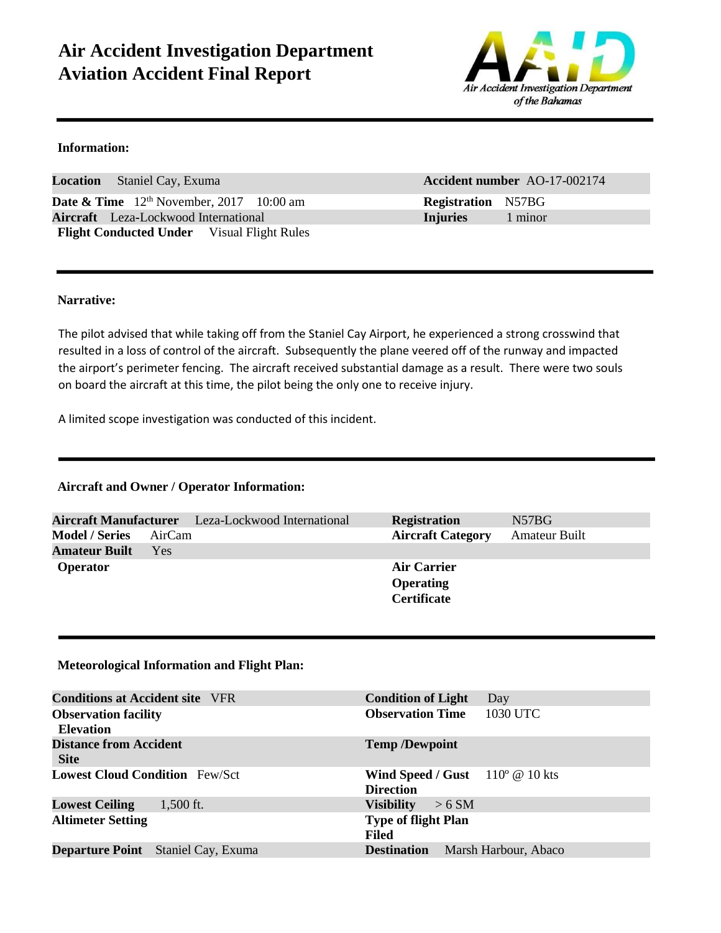# **Air Accident Investigation Department Aviation Accident Final Report**



#### **Information:**

**Location** Staniel Cay, Exuma **Accident number** AO-17-002174 **Date & Time**  $12^{th}$  November, 2017 10:00 am **Registration** N57BG **Aircraft** Leza**-**Lockwood International **Injuries** 1 minor Flight Conducted Under Visual Flight Rules

#### **Narrative:**

The pilot advised that while taking off from the Staniel Cay Airport, he experienced a strong crosswind that resulted in a loss of control of the aircraft. Subsequently the plane veered off of the runway and impacted the airport's perimeter fencing. The aircraft received substantial damage as a result. There were two souls on board the aircraft at this time, the pilot being the only one to receive injury.

A limited scope investigation was conducted of this incident.

#### **Aircraft and Owner / Operator Information:**

|                       |        | Aircraft Manufacturer Leza-Lockwood International | <b>Registration</b>      | N57BG                |
|-----------------------|--------|---------------------------------------------------|--------------------------|----------------------|
| <b>Model / Series</b> | AirCam |                                                   | <b>Aircraft Category</b> | <b>Amateur Built</b> |
| <b>Amateur Built</b>  | Yes.   |                                                   |                          |                      |
| <b>Operator</b>       |        |                                                   | Air Carrier              |                      |
|                       |        |                                                   | <b>Operating</b>         |                      |
|                       |        |                                                   | <b>Certificate</b>       |                      |
|                       |        |                                                   |                          |                      |

#### **Meteorological Information and Flight Plan:**

| <b>Conditions at Accident site</b> VFR          | <b>Condition of Light</b><br>Day                             |
|-------------------------------------------------|--------------------------------------------------------------|
| <b>Observation facility</b><br><b>Elevation</b> | <b>Observation Time</b><br>1030 UTC                          |
| <b>Distance from Accident</b><br><b>Site</b>    | <b>Temp /Dewpoint</b>                                        |
| <b>Lowest Cloud Condition</b> Few/Sct           | Wind Speed / Gust $110^{\circ}$ @ 10 kts<br><b>Direction</b> |
| <b>Lowest Ceiling</b><br>$1,500$ ft.            | <b>Visibility</b><br>> 6 SM                                  |
| <b>Altimeter Setting</b>                        | <b>Type of flight Plan</b><br>Filed                          |
| <b>Departure Point</b> Staniel Cay, Exuma       | <b>Destination</b><br>Marsh Harbour, Abaco                   |